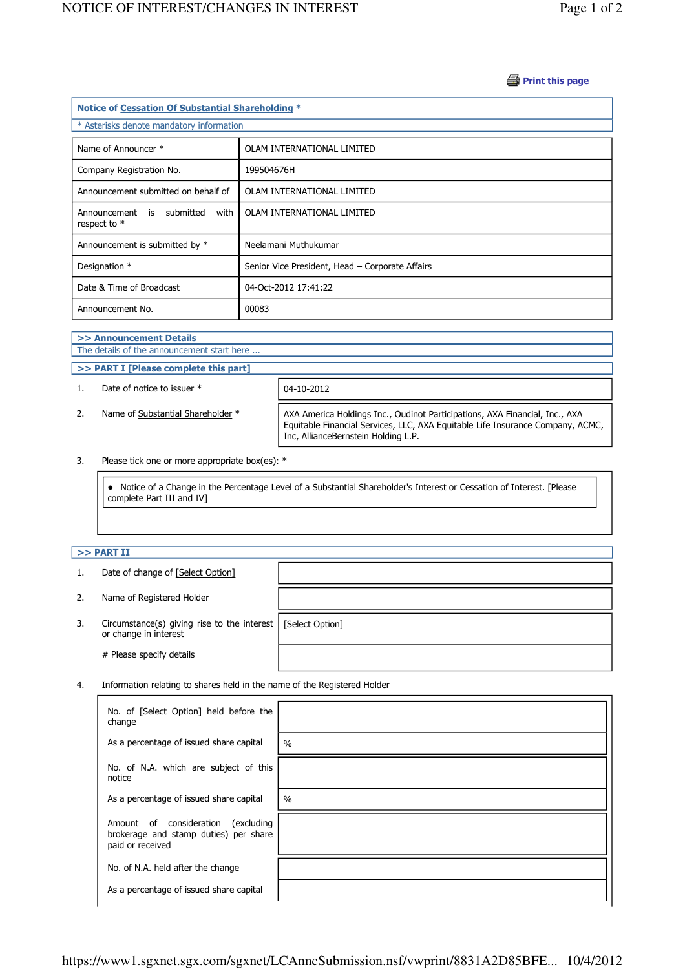## **B** Print this page

| Notice of Cessation Of Substantial Shareholding * |                                                 |  |  |  |  |
|---------------------------------------------------|-------------------------------------------------|--|--|--|--|
| * Asterisks denote mandatory information          |                                                 |  |  |  |  |
| Name of Announcer *                               | OLAM INTERNATIONAL LIMITED                      |  |  |  |  |
| Company Registration No.                          | 199504676H                                      |  |  |  |  |
| Announcement submitted on behalf of               | OLAM INTERNATIONAL LIMITED                      |  |  |  |  |
| Announcement is submitted<br>with<br>respect to * | OLAM INTERNATIONAL LIMITED                      |  |  |  |  |
| Announcement is submitted by *                    | Neelamani Muthukumar                            |  |  |  |  |
| Designation *                                     | Senior Vice President, Head - Corporate Affairs |  |  |  |  |
| Date & Time of Broadcast                          | 04-Oct-2012 17:41:22                            |  |  |  |  |
| Announcement No.                                  | 00083                                           |  |  |  |  |

## >> Announcement Details The details of the announcement start here ... >> PART I [Please complete this part] 1. Date of notice to issuer  $*$  04-10-2012 2. Name of Substantial Shareholder \* AXA America Holdings Inc., Oudinot Participations, AXA Financial, Inc., AXA Equitable Financial Services, LLC, AXA Equitable Life Insurance Company, ACMC,

Inc, AllianceBernstein Holding L.P.

3. Please tick one or more appropriate box(es): \*

 Notice of a Change in the Percentage Level of a Substantial Shareholder's Interest or Cessation of Interest. [Please complete Part III and IV]

## $>>$  PART II

j

J ï

| 1. | Date of change of [Select Option]                                    |                 |
|----|----------------------------------------------------------------------|-----------------|
| 2. | Name of Registered Holder                                            |                 |
| 3. | Circumstance(s) giving rise to the interest<br>or change in interest | [Select Option] |
|    | # Please specify details                                             |                 |

4. Information relating to shares held in the name of the Registered Holder

| No. of [Select Option] held before the<br>change                                                   |               |
|----------------------------------------------------------------------------------------------------|---------------|
| As a percentage of issued share capital                                                            | $\frac{0}{0}$ |
| No. of N.A. which are subject of this<br>notice                                                    |               |
| As a percentage of issued share capital                                                            | $\frac{0}{0}$ |
| Amount of consideration<br>(excluding<br>brokerage and stamp duties) per share<br>paid or received |               |
| No. of N.A. held after the change                                                                  |               |
| As a percentage of issued share capital                                                            |               |